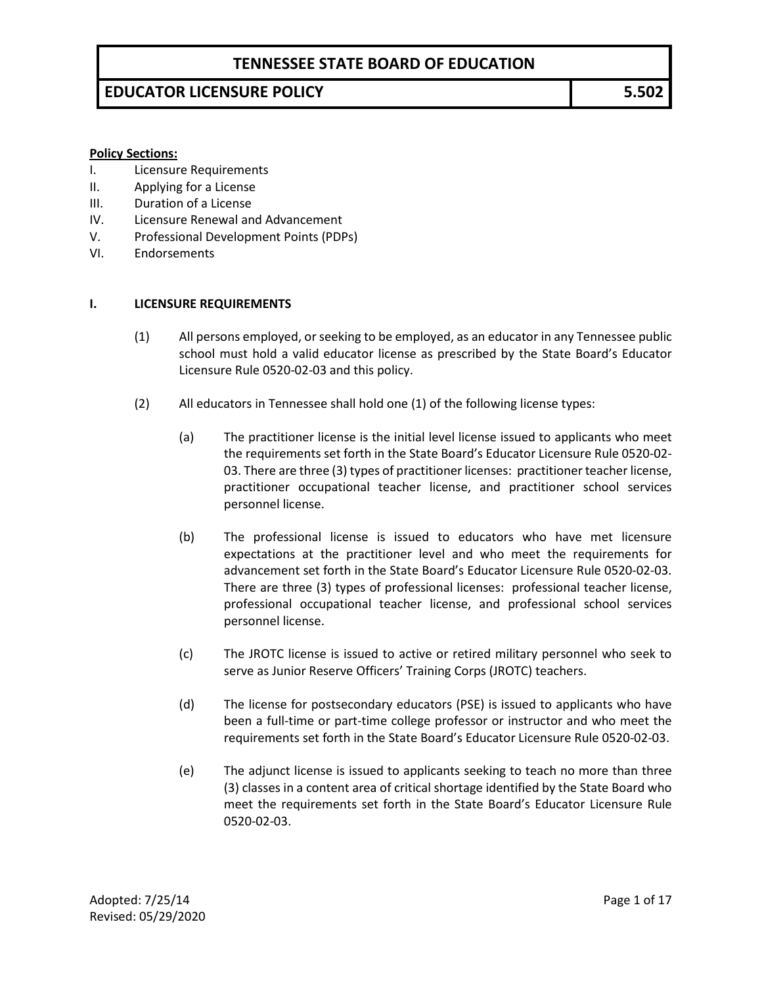# **EDUCATOR LICENSURE POLICY 5.502**

#### **Policy Sections:**

- I. Licensure Requirements
- II. Applying for a License
- III. Duration of a License
- IV. Licensure Renewal and Advancement
- V. Professional Development Points (PDPs)
- VI. Endorsements

#### **I. LICENSURE REQUIREMENTS**

- (1) All persons employed, or seeking to be employed, as an educator in any Tennessee public school must hold a valid educator license as prescribed by the State Board's Educator Licensure Rule 0520-02-03 and this policy.
- (2) All educators in Tennessee shall hold one (1) of the following license types:
	- (a) The practitioner license is the initial level license issued to applicants who meet the requirements set forth in the State Board's Educator Licensure Rule 0520-02- 03. There are three (3) types of practitioner licenses: practitioner teacher license, practitioner occupational teacher license, and practitioner school services personnel license.
	- (b) The professional license is issued to educators who have met licensure expectations at the practitioner level and who meet the requirements for advancement set forth in the State Board's Educator Licensure Rule 0520-02-03. There are three (3) types of professional licenses: professional teacher license, professional occupational teacher license, and professional school services personnel license.
	- (c) The JROTC license is issued to active or retired military personnel who seek to serve as Junior Reserve Officers' Training Corps (JROTC) teachers.
	- (d) The license for postsecondary educators (PSE) is issued to applicants who have been a full-time or part-time college professor or instructor and who meet the requirements set forth in the State Board's Educator Licensure Rule 0520-02-03.
	- (e) The adjunct license is issued to applicants seeking to teach no more than three (3) classes in a content area of critical shortage identified by the State Board who meet the requirements set forth in the State Board's Educator Licensure Rule 0520-02-03.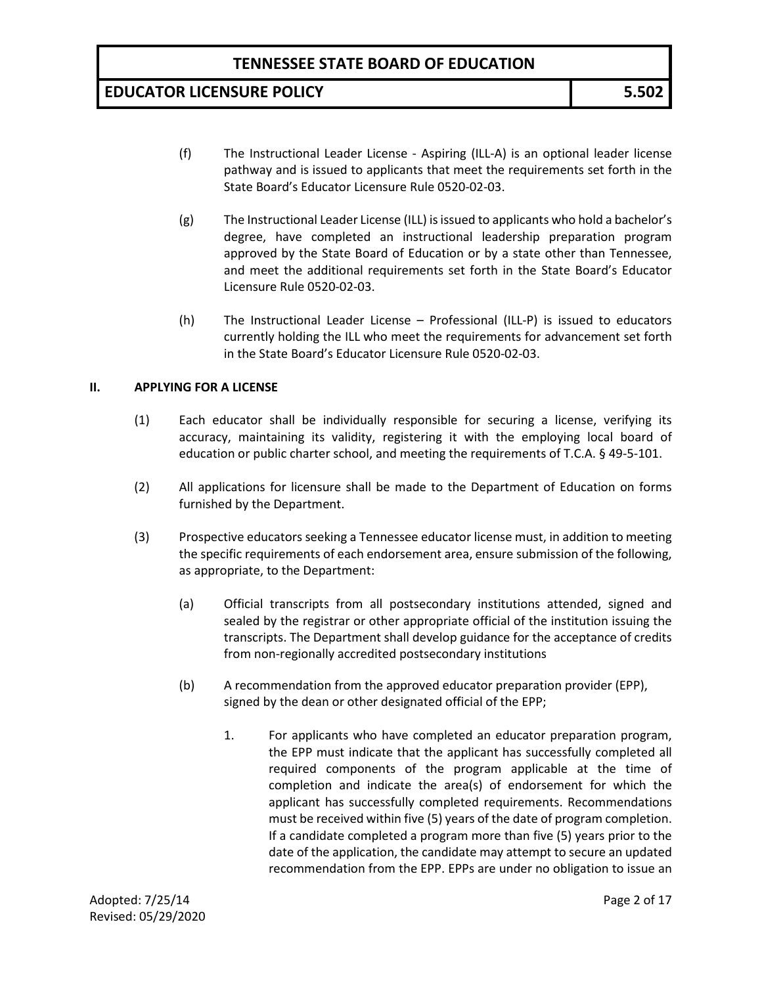# **EDUCATOR LICENSURE POLICY 5.502**

- (f) The Instructional Leader License Aspiring (ILL-A) is an optional leader license pathway and is issued to applicants that meet the requirements set forth in the State Board's Educator Licensure Rule 0520-02-03.
- (g) The Instructional Leader License (ILL) is issued to applicants who hold a bachelor's degree, have completed an instructional leadership preparation program approved by the State Board of Education or by a state other than Tennessee, and meet the additional requirements set forth in the State Board's Educator Licensure Rule 0520-02-03.
- (h) The Instructional Leader License Professional (ILL-P) is issued to educators currently holding the ILL who meet the requirements for advancement set forth in the State Board's Educator Licensure Rule 0520-02-03.

#### **II. APPLYING FOR A LICENSE**

- (1) Each educator shall be individually responsible for securing a license, verifying its accuracy, maintaining its validity, registering it with the employing local board of education or public charter school, and meeting the requirements of T.C.A. § 49-5-101.
- (2) All applications for licensure shall be made to the Department of Education on forms furnished by the Department.
- (3) Prospective educators seeking a Tennessee educator license must, in addition to meeting the specific requirements of each endorsement area, ensure submission of the following, as appropriate, to the Department:
	- (a) Official transcripts from all postsecondary institutions attended, signed and sealed by the registrar or other appropriate official of the institution issuing the transcripts. The Department shall develop guidance for the acceptance of credits from non-regionally accredited postsecondary institutions
	- (b) A recommendation from the approved educator preparation provider (EPP), signed by the dean or other designated official of the EPP;
		- 1. For applicants who have completed an educator preparation program, the EPP must indicate that the applicant has successfully completed all required components of the program applicable at the time of completion and indicate the area(s) of endorsement for which the applicant has successfully completed requirements. Recommendations must be received within five (5) years of the date of program completion. If a candidate completed a program more than five (5) years prior to the date of the application, the candidate may attempt to secure an updated recommendation from the EPP. EPPs are under no obligation to issue an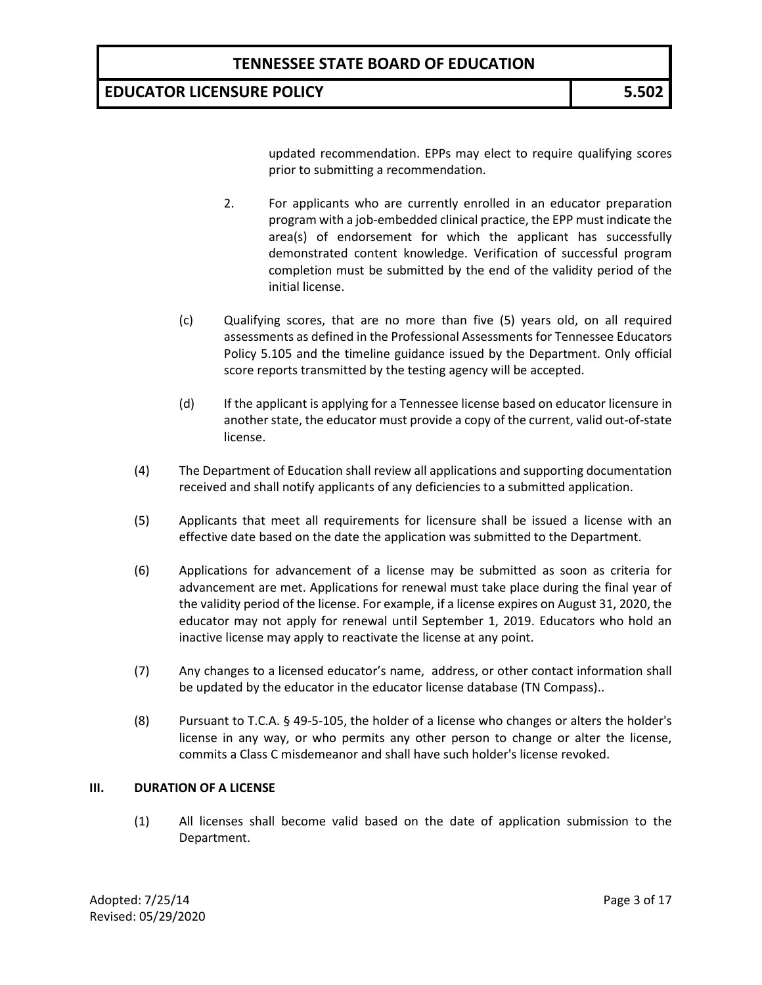# **EDUCATOR LICENSURE POLICY 5.502**

updated recommendation. EPPs may elect to require qualifying scores prior to submitting a recommendation.

- 2. For applicants who are currently enrolled in an educator preparation program with a job-embedded clinical practice, the EPP must indicate the area(s) of endorsement for which the applicant has successfully demonstrated content knowledge. Verification of successful program completion must be submitted by the end of the validity period of the initial license.
- (c) Qualifying scores, that are no more than five (5) years old, on all required assessments as defined in the Professional Assessments for Tennessee Educators Policy 5.105 and the timeline guidance issued by the Department. Only official score reports transmitted by the testing agency will be accepted.
- (d) If the applicant is applying for a Tennessee license based on educator licensure in another state, the educator must provide a copy of the current, valid out-of-state license.
- (4) The Department of Education shall review all applications and supporting documentation received and shall notify applicants of any deficiencies to a submitted application.
- (5) Applicants that meet all requirements for licensure shall be issued a license with an effective date based on the date the application was submitted to the Department.
- (6) Applications for advancement of a license may be submitted as soon as criteria for advancement are met. Applications for renewal must take place during the final year of the validity period of the license. For example, if a license expires on August 31, 2020, the educator may not apply for renewal until September 1, 2019. Educators who hold an inactive license may apply to reactivate the license at any point.
- (7) Any changes to a licensed educator's name, address, or other contact information shall be updated by the educator in the educator license database (TN Compass)..
- (8) Pursuant to T.C.A. § 49-5-105, the holder of a license who changes or alters the holder's license in any way, or who permits any other person to change or alter the license, commits a Class C misdemeanor and shall have such holder's license revoked.

#### **III. DURATION OF A LICENSE**

(1) All licenses shall become valid based on the date of application submission to the Department.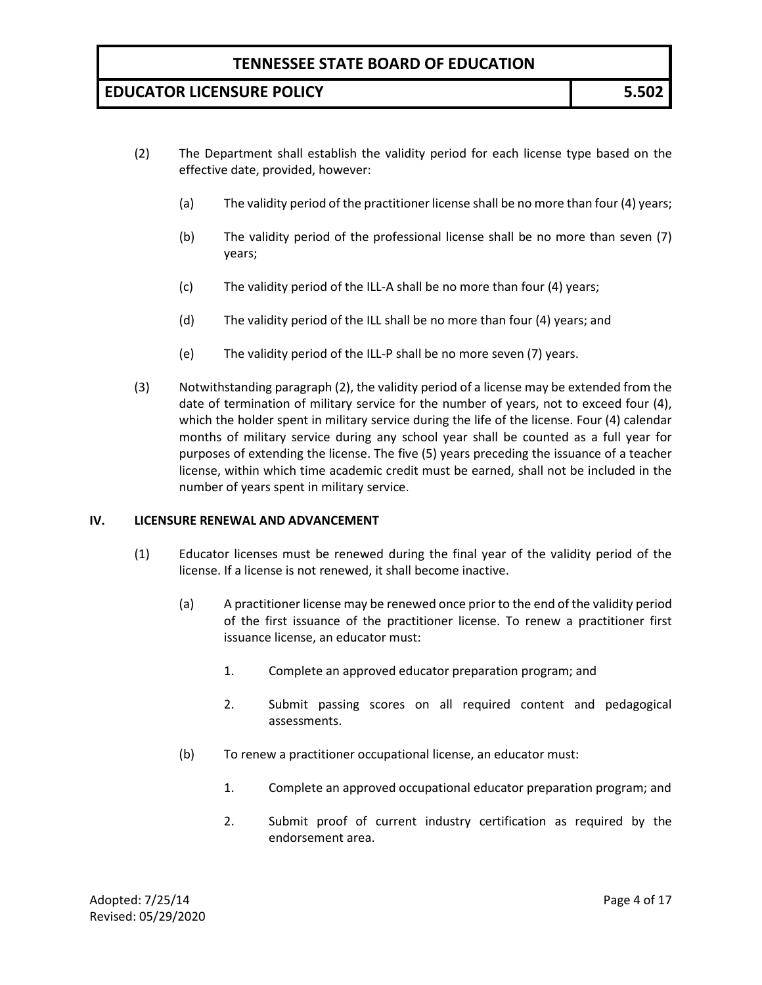# **EDUCATOR LICENSURE POLICY 5.502**

- (2) The Department shall establish the validity period for each license type based on the effective date, provided, however:
	- (a) The validity period of the practitioner license shall be no more than four (4) years;
	- (b) The validity period of the professional license shall be no more than seven (7) years;
	- (c) The validity period of the ILL-A shall be no more than four (4) years;
	- (d) The validity period of the ILL shall be no more than four (4) years; and
	- (e) The validity period of the ILL-P shall be no more seven (7) years.
- (3) Notwithstanding paragraph (2), the validity period of a license may be extended from the date of termination of military service for the number of years, not to exceed four (4), which the holder spent in military service during the life of the license. Four (4) calendar months of military service during any school year shall be counted as a full year for purposes of extending the license. The five (5) years preceding the issuance of a teacher license, within which time academic credit must be earned, shall not be included in the number of years spent in military service.

#### **IV. LICENSURE RENEWAL AND ADVANCEMENT**

- (1) Educator licenses must be renewed during the final year of the validity period of the license. If a license is not renewed, it shall become inactive.
	- (a) A practitioner license may be renewed once prior to the end of the validity period of the first issuance of the practitioner license. To renew a practitioner first issuance license, an educator must:
		- 1. Complete an approved educator preparation program; and
		- 2. Submit passing scores on all required content and pedagogical assessments.
	- (b) To renew a practitioner occupational license, an educator must:
		- 1. Complete an approved occupational educator preparation program; and
		- 2. Submit proof of current industry certification as required by the endorsement area.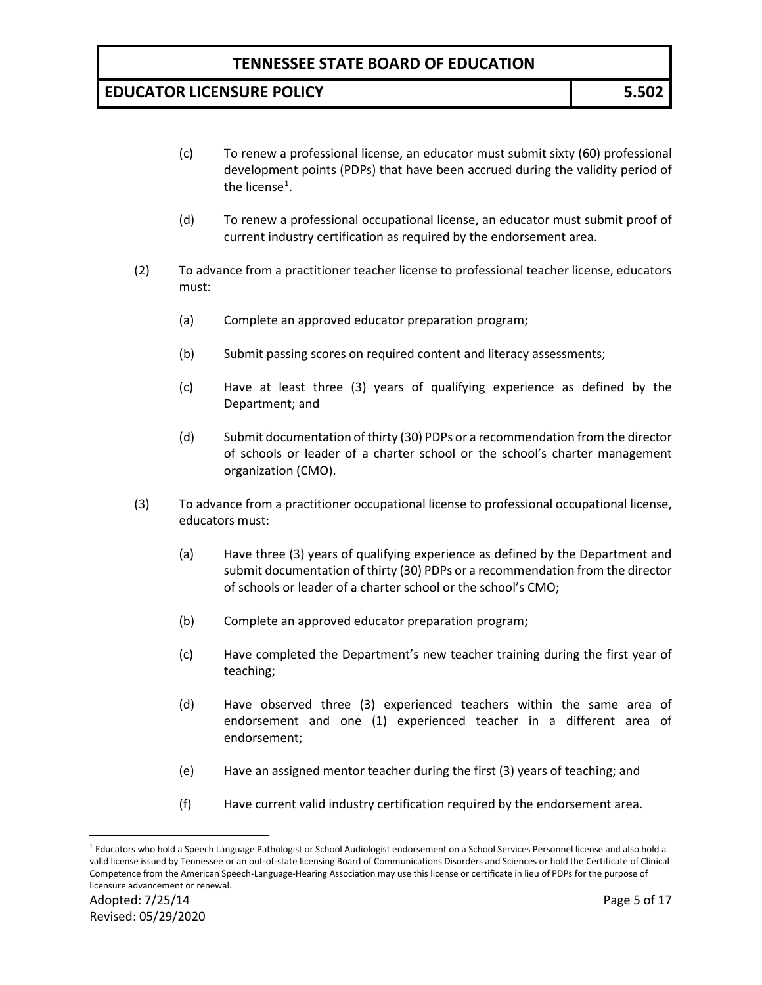- (c) To renew a professional license, an educator must submit sixty (60) professional development points (PDPs) that have been accrued during the validity period of the license $^1$  $^1$ .
- (d) To renew a professional occupational license, an educator must submit proof of current industry certification as required by the endorsement area.
- (2) To advance from a practitioner teacher license to professional teacher license, educators must:
	- (a) Complete an approved educator preparation program;
	- (b) Submit passing scores on required content and literacy assessments;
	- (c) Have at least three (3) years of qualifying experience as defined by the Department; and
	- (d) Submit documentation of thirty (30) PDPs or a recommendation from the director of schools or leader of a charter school or the school's charter management organization (CMO).
- (3) To advance from a practitioner occupational license to professional occupational license, educators must:
	- (a) Have three (3) years of qualifying experience as defined by the Department and submit documentation of thirty (30) PDPs or a recommendation from the director of schools or leader of a charter school or the school's CMO;
	- (b) Complete an approved educator preparation program;
	- (c) Have completed the Department's new teacher training during the first year of teaching;
	- (d) Have observed three (3) experienced teachers within the same area of endorsement and one (1) experienced teacher in a different area of endorsement;
	- (e) Have an assigned mentor teacher during the first (3) years of teaching; and
	- (f) Have current valid industry certification required by the endorsement area.

<span id="page-4-0"></span><sup>&</sup>lt;sup>1</sup> Educators who hold a Speech Language Pathologist or School Audiologist endorsement on a School Services Personnel license and also hold a valid license issued by Tennessee or an out-of-state licensing Board of Communications Disorders and Sciences or hold the Certificate of Clinical Competence from the American Speech-Language-Hearing Association may use this license or certificate in lieu of PDPs for the purpose of licensure advancement or renewal.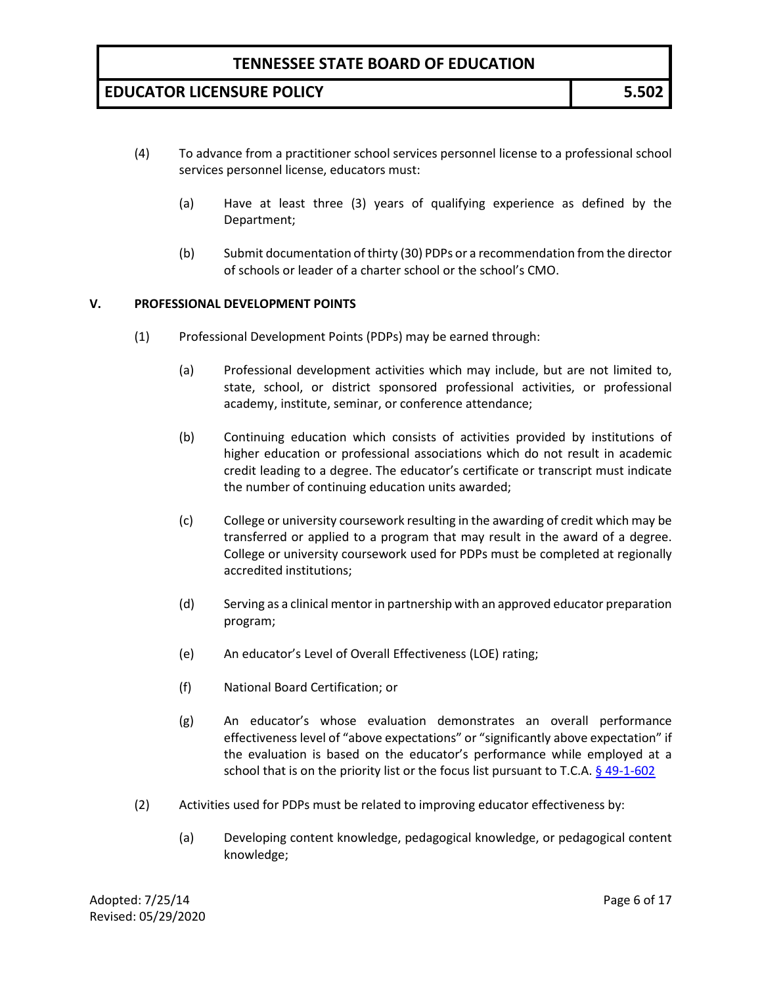# **EDUCATOR LICENSURE POLICY 5.502**

- (4) To advance from a practitioner school services personnel license to a professional school services personnel license, educators must:
	- (a) Have at least three (3) years of qualifying experience as defined by the Department;
	- (b) Submit documentation of thirty (30) PDPs or a recommendation from the director of schools or leader of a charter school or the school's CMO.

#### **V. PROFESSIONAL DEVELOPMENT POINTS**

- (1) Professional Development Points (PDPs) may be earned through:
	- (a) Professional development activities which may include, but are not limited to, state, school, or district sponsored professional activities, or professional academy, institute, seminar, or conference attendance;
	- (b) Continuing education which consists of activities provided by institutions of higher education or professional associations which do not result in academic credit leading to a degree. The educator's certificate or transcript must indicate the number of continuing education units awarded;
	- (c) College or university coursework resulting in the awarding of credit which may be transferred or applied to a program that may result in the award of a degree. College or university coursework used for PDPs must be completed at regionally accredited institutions;
	- (d) Serving as a clinical mentor in partnership with an approved educator preparation program;
	- (e) An educator's Level of Overall Effectiveness (LOE) rating;
	- (f) National Board Certification; or
	- (g) An educator's whose evaluation demonstrates an overall performance effectiveness level of "above expectations" or "significantly above expectation" if the evaluation is based on the educator's performance while employed at a school that is on the priority list or the focus list pursuant to T.C.A.  $\frac{6}{9}$  49-1-602
- (2) Activities used for PDPs must be related to improving educator effectiveness by:
	- (a) Developing content knowledge, pedagogical knowledge, or pedagogical content knowledge;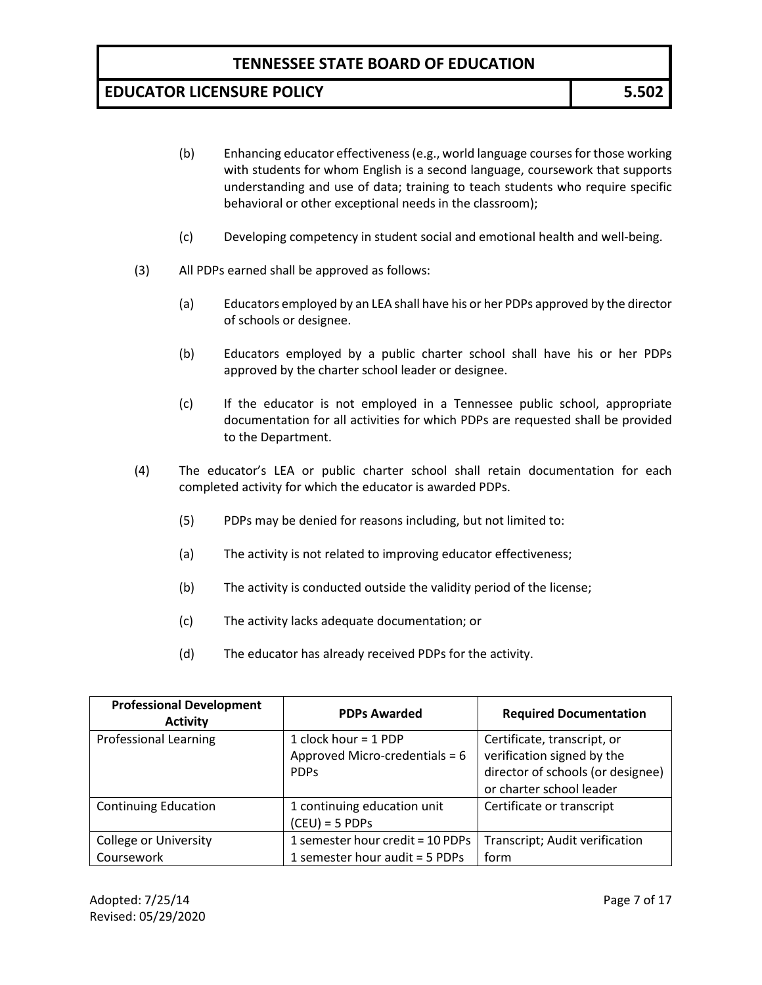- (b) Enhancing educator effectiveness (e.g., world language courses for those working with students for whom English is a second language, coursework that supports understanding and use of data; training to teach students who require specific behavioral or other exceptional needs in the classroom);
- (c) Developing competency in student social and emotional health and well-being.
- (3) All PDPs earned shall be approved as follows:
	- (a) Educators employed by an LEA shall have his or her PDPs approved by the director of schools or designee.
	- (b) Educators employed by a public charter school shall have his or her PDPs approved by the charter school leader or designee.
	- (c) If the educator is not employed in a Tennessee public school, appropriate documentation for all activities for which PDPs are requested shall be provided to the Department.
- (4) The educator's LEA or public charter school shall retain documentation for each completed activity for which the educator is awarded PDPs.
	- (5) PDPs may be denied for reasons including, but not limited to:
	- (a) The activity is not related to improving educator effectiveness;
	- (b) The activity is conducted outside the validity period of the license;
	- (c) The activity lacks adequate documentation; or
	- (d) The educator has already received PDPs for the activity.

| <b>Professional Development</b><br><b>Activity</b> | <b>PDPs Awarded</b>                                                   | <b>Required Documentation</b>                                                                  |
|----------------------------------------------------|-----------------------------------------------------------------------|------------------------------------------------------------------------------------------------|
| <b>Professional Learning</b>                       | 1 clock hour = 1 PDP<br>Approved Micro-credentials = 6<br><b>PDPs</b> | Certificate, transcript, or<br>verification signed by the<br>director of schools (or designee) |
|                                                    |                                                                       | or charter school leader                                                                       |
| <b>Continuing Education</b>                        | 1 continuing education unit<br>$(CEU) = 5 PDPs$                       | Certificate or transcript                                                                      |
| College or University                              | 1 semester hour credit = 10 PDPs                                      | Transcript; Audit verification                                                                 |
| Coursework                                         | 1 semester hour audit = 5 PDPs                                        | form                                                                                           |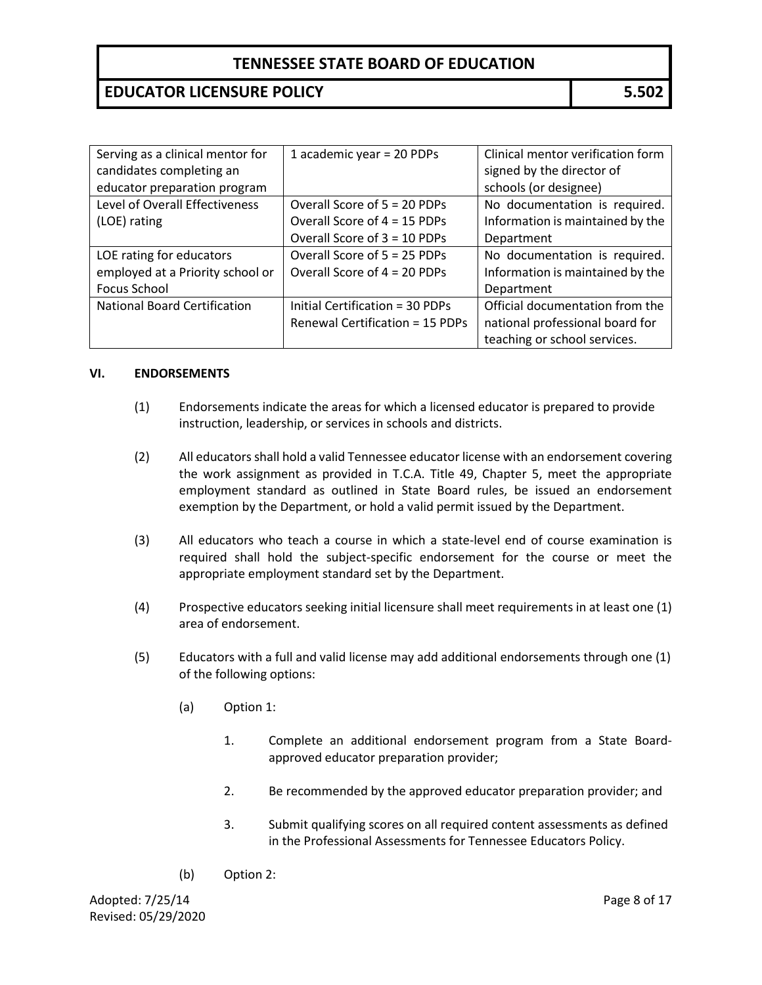# **EDUCATOR LICENSURE POLICY 5.502**

| Serving as a clinical mentor for    | 1 academic year = 20 PDPs       | Clinical mentor verification form |
|-------------------------------------|---------------------------------|-----------------------------------|
| candidates completing an            |                                 | signed by the director of         |
| educator preparation program        |                                 | schools (or designee)             |
| Level of Overall Effectiveness      | Overall Score of 5 = 20 PDPs    | No documentation is required.     |
| (LOE) rating                        | Overall Score of 4 = 15 PDPs    | Information is maintained by the  |
|                                     | Overall Score of 3 = 10 PDPs    | Department                        |
| LOE rating for educators            | Overall Score of 5 = 25 PDPs    | No documentation is required.     |
| employed at a Priority school or    | Overall Score of 4 = 20 PDPs    | Information is maintained by the  |
| Focus School                        |                                 | Department                        |
| <b>National Board Certification</b> | Initial Certification = 30 PDPs | Official documentation from the   |
|                                     | Renewal Certification = 15 PDPs | national professional board for   |
|                                     |                                 | teaching or school services.      |

#### **VI. ENDORSEMENTS**

- (1) Endorsements indicate the areas for which a licensed educator is prepared to provide instruction, leadership, or services in schools and districts.
- (2) All educators shall hold a valid Tennessee educator license with an endorsement covering the work assignment as provided in T.C.A. Title 49, Chapter 5, meet the appropriate employment standard as outlined in State Board rules, be issued an endorsement exemption by the Department, or hold a valid permit issued by the Department.
- (3) All educators who teach a course in which a state-level end of course examination is required shall hold the subject-specific endorsement for the course or meet the appropriate employment standard set by the Department.
- (4) Prospective educators seeking initial licensure shall meet requirements in at least one (1) area of endorsement.
- (5) Educators with a full and valid license may add additional endorsements through one (1) of the following options:
	- (a) Option 1:
		- 1. Complete an additional endorsement program from a State Boardapproved educator preparation provider;
		- 2. Be recommended by the approved educator preparation provider; and
		- 3. Submit qualifying scores on all required content assessments as defined in the Professional Assessments for Tennessee Educators Policy.
	- (b) Option 2: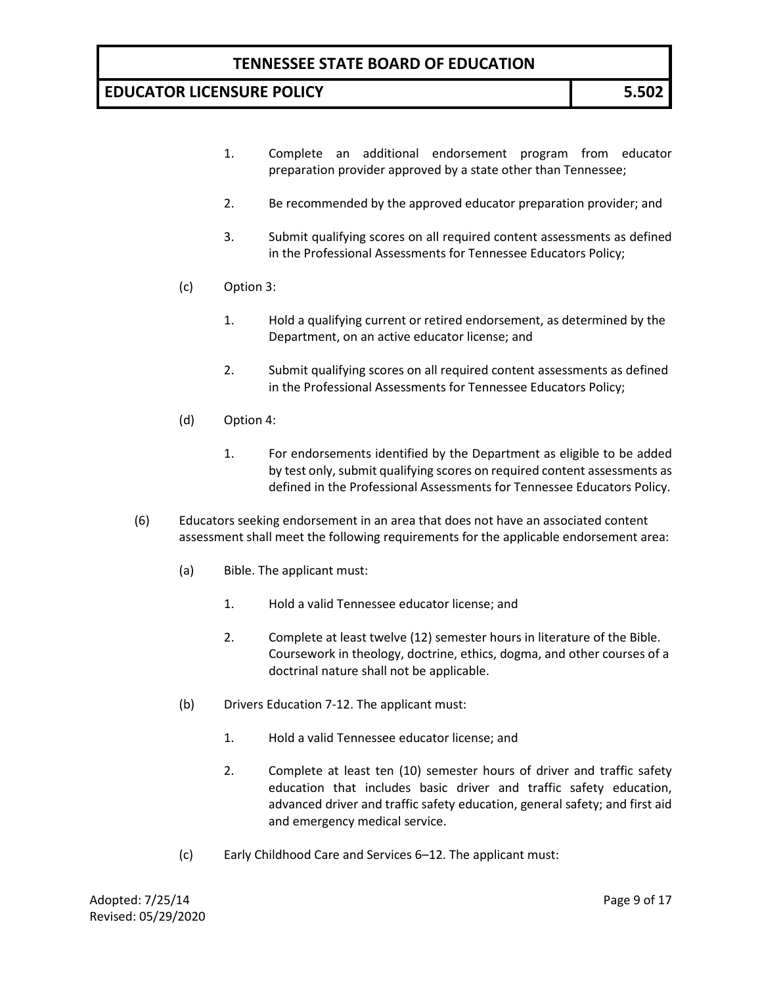- 1. Complete an additional endorsement program from educator preparation provider approved by a state other than Tennessee;
- 2. Be recommended by the approved educator preparation provider; and
- 3. Submit qualifying scores on all required content assessments as defined in the Professional Assessments for Tennessee Educators Policy;
- (c) Option 3:
	- 1. Hold a qualifying current or retired endorsement, as determined by the Department, on an active educator license; and
	- 2. Submit qualifying scores on all required content assessments as defined in the Professional Assessments for Tennessee Educators Policy;
- (d) Option 4:
	- 1. For endorsements identified by the Department as eligible to be added by test only, submit qualifying scores on required content assessments as defined in the Professional Assessments for Tennessee Educators Policy.
- (6) Educators seeking endorsement in an area that does not have an associated content assessment shall meet the following requirements for the applicable endorsement area:
	- (a) Bible. The applicant must:
		- 1. Hold a valid Tennessee educator license; and
		- 2. Complete at least twelve (12) semester hours in literature of the Bible. Coursework in theology, doctrine, ethics, dogma, and other courses of a doctrinal nature shall not be applicable.
	- (b) Drivers Education 7-12. The applicant must:
		- 1. Hold a valid Tennessee educator license; and
		- 2. Complete at least ten (10) semester hours of driver and traffic safety education that includes basic driver and traffic safety education, advanced driver and traffic safety education, general safety; and first aid and emergency medical service.
	- (c) Early Childhood Care and Services 6–12. The applicant must: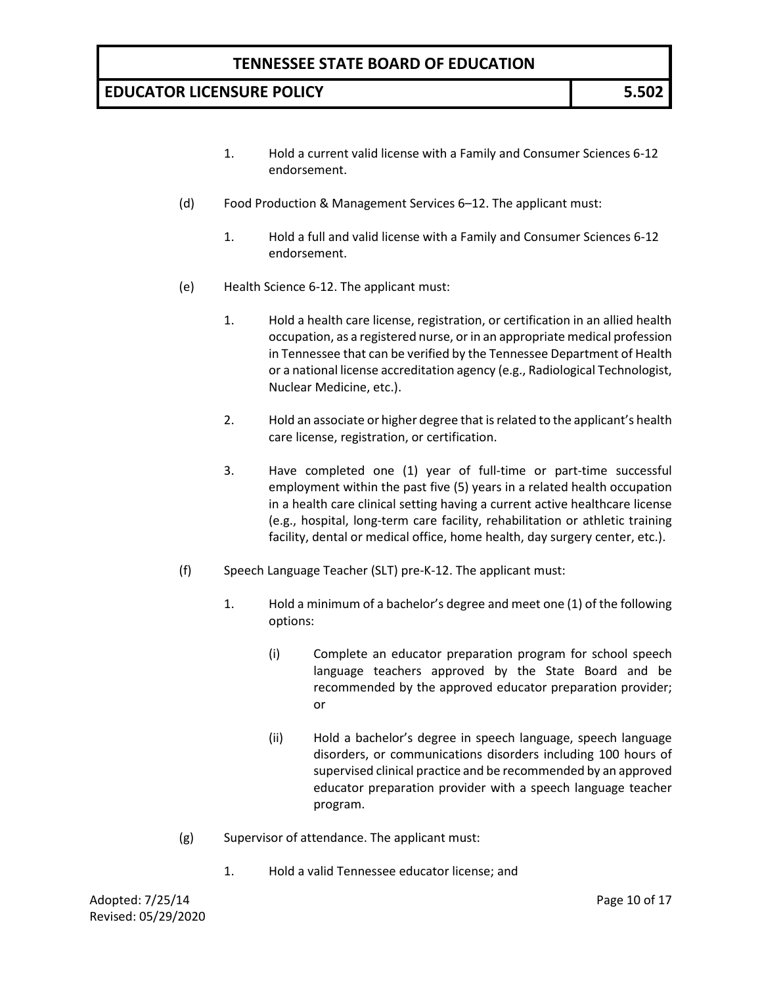- 1. Hold a current valid license with a Family and Consumer Sciences 6-12 endorsement.
- (d) Food Production & Management Services 6–12. The applicant must:
	- 1. Hold a full and valid license with a Family and Consumer Sciences 6-12 endorsement.
- (e) Health Science 6-12. The applicant must:
	- 1. Hold a health care license, registration, or certification in an allied health occupation, as a registered nurse, or in an appropriate medical profession in Tennessee that can be verified by the Tennessee Department of Health or a national license accreditation agency (e.g., Radiological Technologist, Nuclear Medicine, etc.).
	- 2. Hold an associate or higher degree that is related to the applicant's health care license, registration, or certification.
	- 3. Have completed one (1) year of full-time or part-time successful employment within the past five (5) years in a related health occupation in a health care clinical setting having a current active healthcare license (e.g., hospital, long-term care facility, rehabilitation or athletic training facility, dental or medical office, home health, day surgery center, etc.).
- (f) Speech Language Teacher (SLT) pre-K-12. The applicant must:
	- 1. Hold a minimum of a bachelor's degree and meet one (1) of the following options:
		- (i) Complete an educator preparation program for school speech language teachers approved by the State Board and be recommended by the approved educator preparation provider; or
		- (ii) Hold a bachelor's degree in speech language, speech language disorders, or communications disorders including 100 hours of supervised clinical practice and be recommended by an approved educator preparation provider with a speech language teacher program.
- (g) Supervisor of attendance. The applicant must:
	- 1. Hold a valid Tennessee educator license; and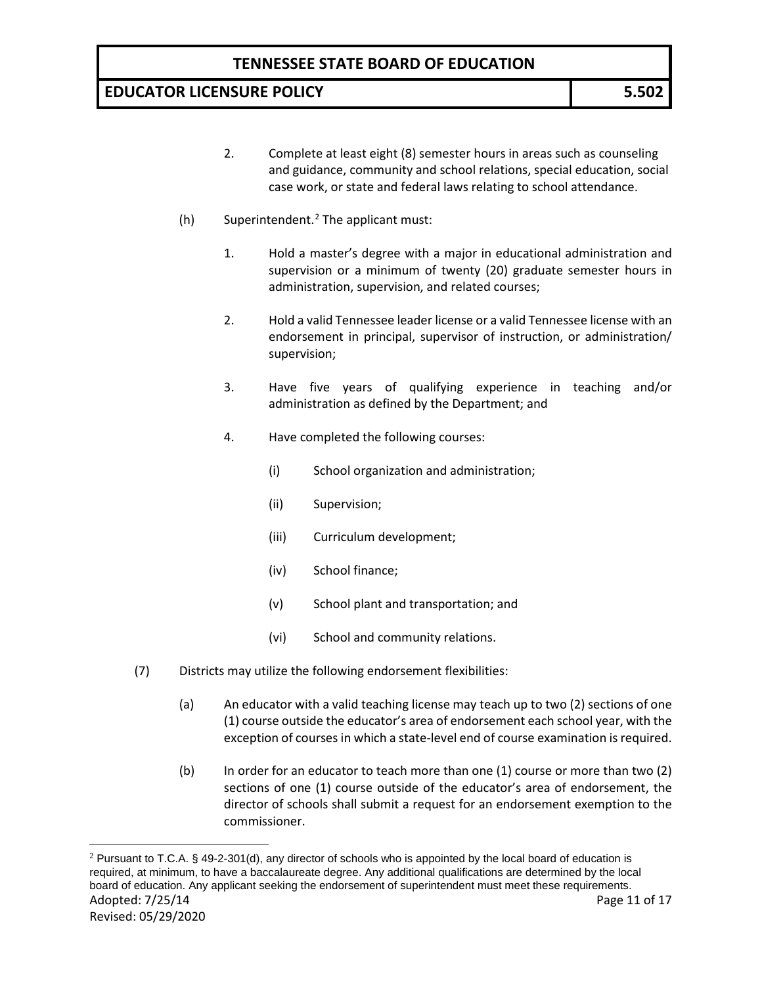- 2. Complete at least eight (8) semester hours in areas such as counseling and guidance, community and school relations, special education, social case work, or state and federal laws relating to school attendance.
- (h) Superintendent. [2](#page-10-0) The applicant must:
	- 1. Hold a master's degree with a major in educational administration and supervision or a minimum of twenty (20) graduate semester hours in administration, supervision, and related courses;
	- 2. Hold a valid Tennessee leader license or a valid Tennessee license with an endorsement in principal, supervisor of instruction, or administration/ supervision;
	- 3. Have five years of qualifying experience in teaching and/or administration as defined by the Department; and
	- 4. Have completed the following courses:
		- (i) School organization and administration;
		- (ii) Supervision;
		- (iii) Curriculum development;
		- (iv) School finance;
		- (v) School plant and transportation; and
		- (vi) School and community relations.
- (7) Districts may utilize the following endorsement flexibilities:
	- (a) An educator with a valid teaching license may teach up to two (2) sections of one (1) course outside the educator's area of endorsement each school year, with the exception of courses in which a state-level end of course examination is required.
	- (b) In order for an educator to teach more than one (1) course or more than two (2) sections of one (1) course outside of the educator's area of endorsement, the director of schools shall submit a request for an endorsement exemption to the commissioner.

<span id="page-10-0"></span>Adopted: 7/25/14 **Page 11 of 17** Revised: 05/29/2020  $2$  Pursuant to T.C.A. § 49-2-301(d), any director of schools who is appointed by the local board of education is required, at minimum, to have a baccalaureate degree. Any additional qualifications are determined by the local board of education. Any applicant seeking the endorsement of superintendent must meet these requirements.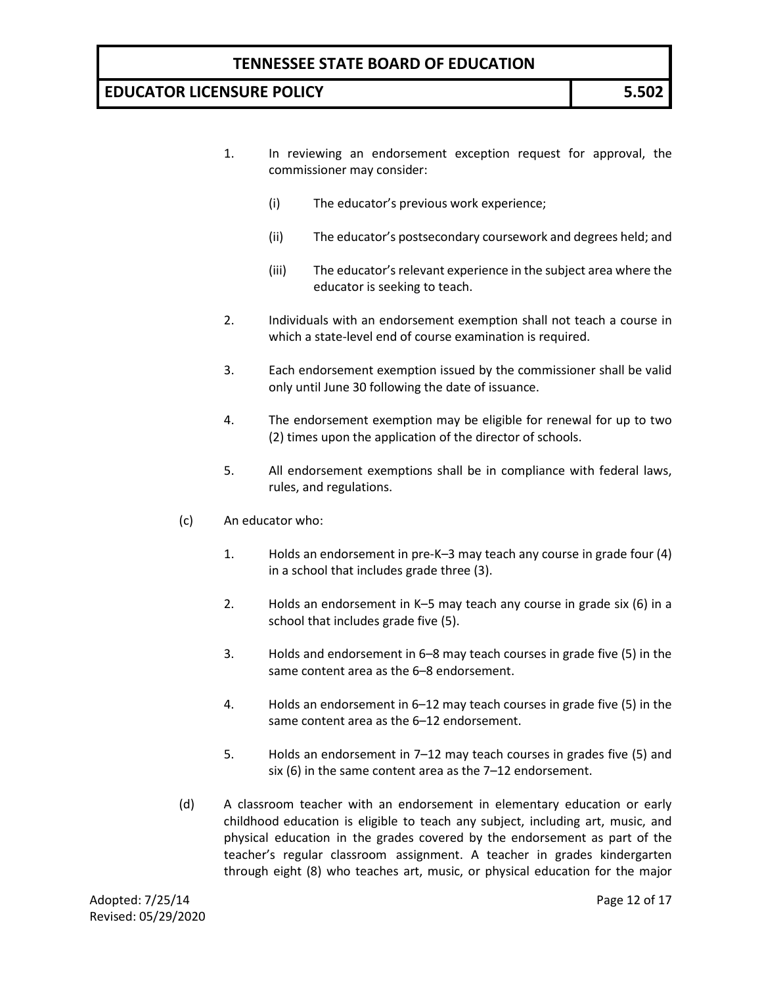- 1. In reviewing an endorsement exception request for approval, the commissioner may consider:
	- (i) The educator's previous work experience;
	- (ii) The educator's postsecondary coursework and degrees held; and
	- (iii) The educator's relevant experience in the subject area where the educator is seeking to teach.
- 2. Individuals with an endorsement exemption shall not teach a course in which a state-level end of course examination is required.
- 3. Each endorsement exemption issued by the commissioner shall be valid only until June 30 following the date of issuance.
- 4. The endorsement exemption may be eligible for renewal for up to two (2) times upon the application of the director of schools.
- 5. All endorsement exemptions shall be in compliance with federal laws, rules, and regulations.
- (c) An educator who:
	- 1. Holds an endorsement in pre-K–3 may teach any course in grade four (4) in a school that includes grade three (3).
	- 2. Holds an endorsement in K–5 may teach any course in grade six (6) in a school that includes grade five (5).
	- 3. Holds and endorsement in 6–8 may teach courses in grade five (5) in the same content area as the 6–8 endorsement.
	- 4. Holds an endorsement in 6–12 may teach courses in grade five (5) in the same content area as the 6–12 endorsement.
	- 5. Holds an endorsement in 7–12 may teach courses in grades five (5) and six (6) in the same content area as the 7–12 endorsement.
- (d) A classroom teacher with an endorsement in elementary education or early childhood education is eligible to teach any subject, including art, music, and physical education in the grades covered by the endorsement as part of the teacher's regular classroom assignment. A teacher in grades kindergarten through eight (8) who teaches art, music, or physical education for the major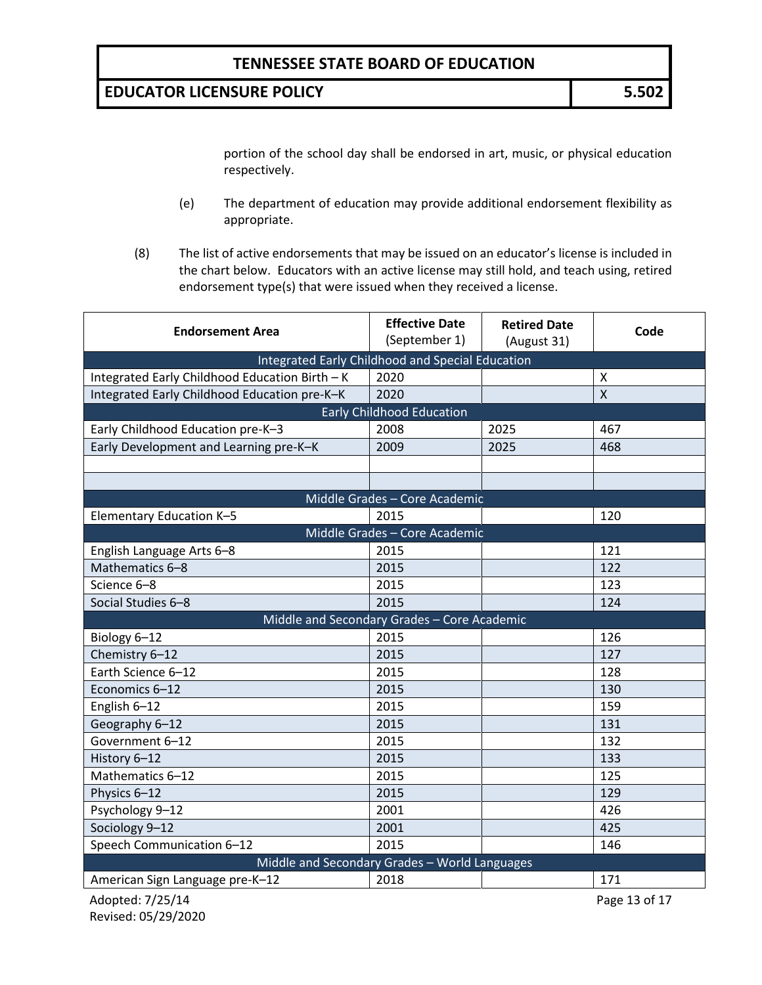**EDUCATOR LICENSURE POLICY 5.502**

portion of the school day shall be endorsed in art, music, or physical education respectively.

- (e) The department of education may provide additional endorsement flexibility as appropriate.
- (8) The list of active endorsements that may be issued on an educator's license is included in the chart below. Educators with an active license may still hold, and teach using, retired endorsement type(s) that were issued when they received a license.

| <b>Endorsement Area</b>                        | <b>Effective Date</b><br>(September 1)           | <b>Retired Date</b><br>(August 31) | Code         |
|------------------------------------------------|--------------------------------------------------|------------------------------------|--------------|
|                                                | Integrated Early Childhood and Special Education |                                    |              |
| Integrated Early Childhood Education Birth - K | 2020                                             |                                    | X            |
| Integrated Early Childhood Education pre-K-K   | 2020                                             |                                    | $\mathsf{X}$ |
|                                                | <b>Early Childhood Education</b>                 |                                    |              |
| Early Childhood Education pre-K-3              | 2008                                             | 2025                               | 467          |
| Early Development and Learning pre-K-K         | 2009                                             | 2025                               | 468          |
|                                                |                                                  |                                    |              |
|                                                |                                                  |                                    |              |
|                                                | Middle Grades - Core Academic                    |                                    |              |
| Elementary Education K-5                       | 2015                                             |                                    | 120          |
|                                                | Middle Grades - Core Academic                    |                                    |              |
| English Language Arts 6-8                      | 2015                                             |                                    | 121          |
| Mathematics 6-8                                | 2015                                             |                                    | 122          |
| Science 6-8                                    | 2015                                             |                                    | 123          |
| Social Studies 6-8                             | 2015                                             |                                    | 124          |
|                                                | Middle and Secondary Grades - Core Academic      |                                    |              |
| Biology 6-12                                   | 2015                                             |                                    | 126          |
| Chemistry 6-12                                 | 2015                                             |                                    | 127          |
| Earth Science 6-12                             | 2015                                             |                                    | 128          |
| Economics 6-12                                 | 2015                                             |                                    | 130          |
| English 6-12                                   | 2015                                             |                                    | 159          |
| Geography 6-12                                 | 2015                                             |                                    | 131          |
| Government 6-12                                | 2015                                             |                                    | 132          |
| History 6-12                                   | 2015                                             |                                    | 133          |
| Mathematics 6-12                               | 2015                                             |                                    | 125          |
| Physics 6-12                                   | 2015                                             |                                    | 129          |
| Psychology 9-12                                | 2001                                             |                                    | 426          |
| Sociology 9-12                                 | 2001                                             |                                    | 425          |
| Speech Communication 6-12                      | 2015                                             |                                    | 146          |
| Middle and Secondary Grades - World Languages  |                                                  |                                    |              |
| American Sign Language pre-K-12                | 2018                                             |                                    | 171          |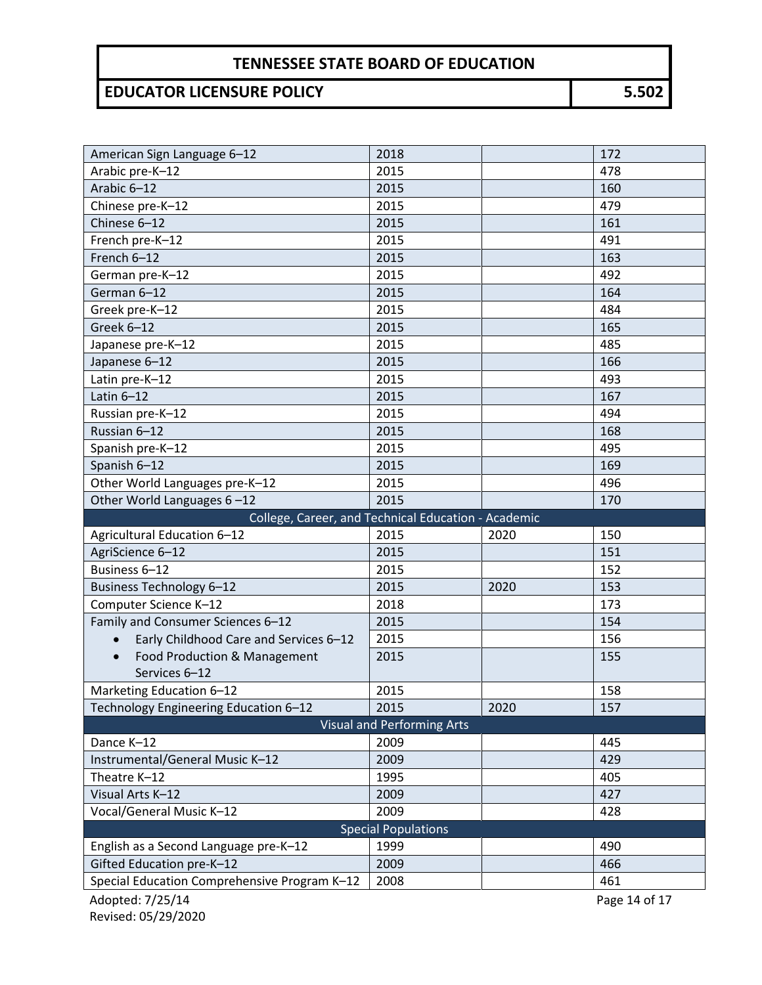| American Sign Language 6-12                                               | 2018                              |      | 172        |  |
|---------------------------------------------------------------------------|-----------------------------------|------|------------|--|
| Arabic pre-K-12                                                           | 2015                              |      | 478        |  |
| Arabic 6-12                                                               | 2015                              |      | 160        |  |
| Chinese pre-K-12                                                          | 2015                              |      | 479        |  |
| Chinese 6-12                                                              | 2015                              |      | 161        |  |
| French pre-K-12                                                           | 2015                              |      | 491        |  |
| French 6-12                                                               | 2015                              |      | 163        |  |
| German pre-K-12                                                           | 2015                              |      | 492        |  |
| German 6-12                                                               | 2015                              |      | 164        |  |
| Greek pre-K-12                                                            | 2015                              |      | 484        |  |
| Greek 6-12                                                                | 2015                              |      | 165        |  |
| Japanese pre-K-12                                                         | 2015                              |      | 485        |  |
| Japanese 6-12                                                             | 2015                              |      | 166        |  |
| Latin pre-K-12                                                            | 2015                              |      | 493        |  |
| Latin $6-12$                                                              | 2015                              |      | 167        |  |
| Russian pre-K-12                                                          | 2015                              |      | 494        |  |
| Russian 6-12                                                              | 2015                              |      | 168        |  |
| Spanish pre-K-12                                                          | 2015                              |      | 495        |  |
| Spanish 6-12                                                              | 2015                              |      | 169        |  |
| Other World Languages pre-K-12                                            | 2015                              |      | 496        |  |
| Other World Languages 6-12                                                | 2015                              |      | 170        |  |
| College, Career, and Technical Education - Academic                       |                                   |      |            |  |
|                                                                           |                                   |      |            |  |
| Agricultural Education 6-12                                               | 2015                              | 2020 | 150        |  |
| AgriScience 6-12                                                          | 2015                              |      | 151        |  |
| Business 6-12                                                             | 2015                              |      | 152        |  |
| <b>Business Technology 6-12</b>                                           | 2015                              | 2020 | 153        |  |
| Computer Science K-12                                                     | 2018                              |      | 173        |  |
| Family and Consumer Sciences 6-12                                         | 2015                              |      | 154        |  |
| Early Childhood Care and Services 6-12<br>$\bullet$                       | 2015                              |      | 156        |  |
| Food Production & Management                                              | 2015                              |      | 155        |  |
| Services 6-12                                                             |                                   |      |            |  |
| Marketing Education 6-12                                                  | 2015                              |      | 158        |  |
| Technology Engineering Education 6-12                                     | 2015                              | 2020 | 157        |  |
|                                                                           | <b>Visual and Performing Arts</b> |      |            |  |
| Dance K-12                                                                | 2009                              |      | 445        |  |
| Instrumental/General Music K-12                                           | 2009                              |      | 429        |  |
| Theatre K-12                                                              | 1995                              |      | 405        |  |
| Visual Arts K-12                                                          | 2009                              |      | 427        |  |
| Vocal/General Music K-12                                                  | 2009                              |      | 428        |  |
|                                                                           | <b>Special Populations</b>        |      |            |  |
| English as a Second Language pre-K-12                                     | 1999                              |      | 490        |  |
| Gifted Education pre-K-12<br>Special Education Comprehensive Program K-12 | 2009<br>2008                      |      | 466<br>461 |  |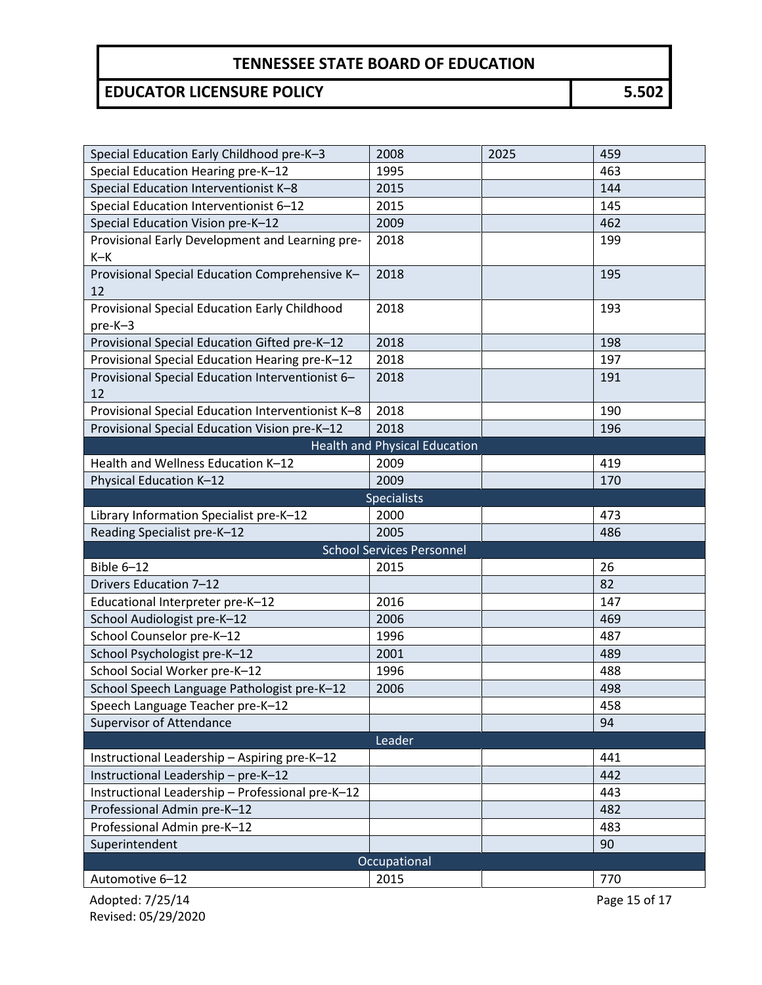| Special Education Early Childhood pre-K-3                | 2008                                 | 2025 | 459           |  |
|----------------------------------------------------------|--------------------------------------|------|---------------|--|
| Special Education Hearing pre-K-12                       | 1995                                 |      | 463           |  |
| Special Education Interventionist K-8                    | 2015                                 |      | 144           |  |
| Special Education Interventionist 6-12                   | 2015                                 |      | 145           |  |
| Special Education Vision pre-K-12                        | 2009                                 |      | 462           |  |
| Provisional Early Development and Learning pre-          | 2018                                 |      | 199           |  |
| $K-K$                                                    |                                      |      |               |  |
| Provisional Special Education Comprehensive K-           | 2018                                 |      | 195           |  |
| 12                                                       |                                      |      |               |  |
| Provisional Special Education Early Childhood<br>pre-K-3 | 2018                                 |      | 193           |  |
| Provisional Special Education Gifted pre-K-12            | 2018                                 |      | 198           |  |
| Provisional Special Education Hearing pre-K-12           | 2018                                 |      | 197           |  |
| Provisional Special Education Interventionist 6-<br>12   | 2018                                 |      | 191           |  |
| Provisional Special Education Interventionist K-8        | 2018                                 |      | 190           |  |
| Provisional Special Education Vision pre-K-12            | 2018                                 |      | 196           |  |
|                                                          | <b>Health and Physical Education</b> |      |               |  |
| Health and Wellness Education K-12                       | 2009                                 |      | 419           |  |
| Physical Education K-12                                  | 2009                                 |      | 170           |  |
|                                                          | <b>Specialists</b>                   |      |               |  |
| Library Information Specialist pre-K-12                  | 2000                                 |      | 473           |  |
| Reading Specialist pre-K-12                              | 2005                                 |      | 486           |  |
|                                                          | <b>School Services Personnel</b>     |      |               |  |
| Bible 6-12                                               | 2015                                 |      | 26            |  |
| Drivers Education 7-12                                   |                                      |      | 82            |  |
| Educational Interpreter pre-K-12                         | 2016                                 |      | 147           |  |
| School Audiologist pre-K-12                              | 2006                                 |      | 469           |  |
| School Counselor pre-K-12                                | 1996                                 |      | 487           |  |
| School Psychologist pre-K-12                             | 2001                                 |      | 489           |  |
| School Social Worker pre-K-12                            | 1996                                 |      | 488           |  |
| School Speech Language Pathologist pre-K-12              | 2006                                 |      | 498           |  |
| Speech Language Teacher pre-K-12                         |                                      |      | 458           |  |
| <b>Supervisor of Attendance</b>                          |                                      |      | 94            |  |
| Leader                                                   |                                      |      |               |  |
| Instructional Leadership - Aspiring pre-K-12             |                                      |      | 441           |  |
| Instructional Leadership - pre-K-12                      |                                      |      | 442           |  |
| Instructional Leadership - Professional pre-K-12         |                                      |      | 443           |  |
| Professional Admin pre-K-12                              |                                      |      | 482           |  |
| Professional Admin pre-K-12                              |                                      |      | 483           |  |
| Superintendent                                           |                                      |      | 90            |  |
| Occupational                                             |                                      |      |               |  |
| Automotive 6-12                                          | 2015                                 |      | 770           |  |
| Adopted: 7/25/14                                         |                                      |      | Page 15 of 17 |  |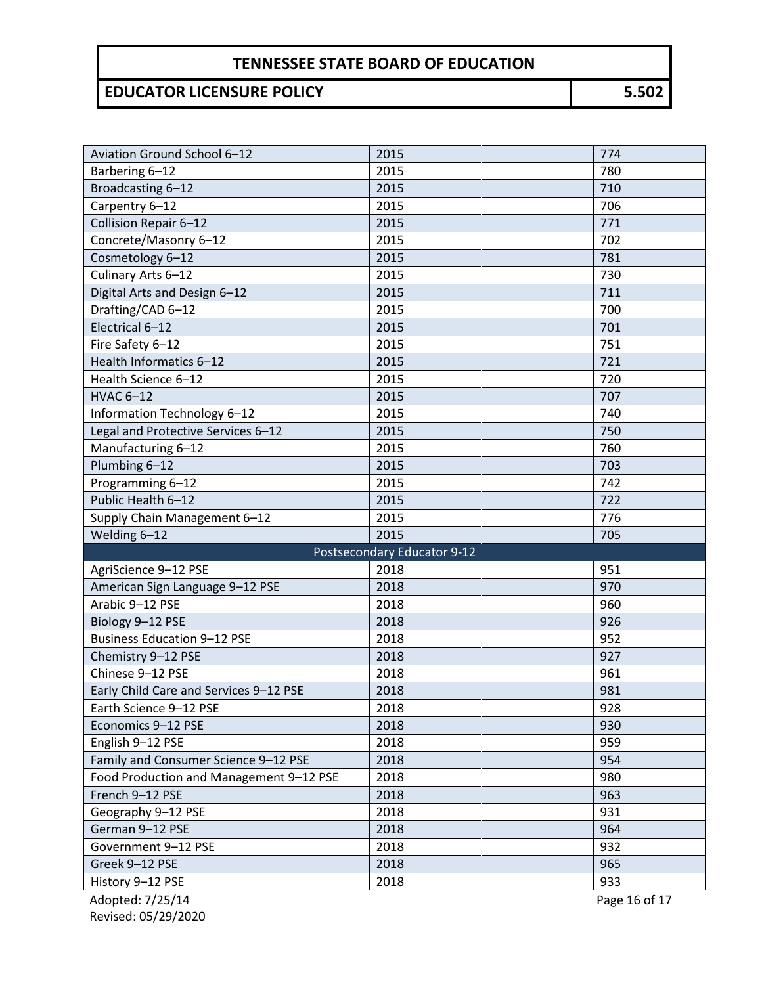# **EDUCATOR LICENSURE POLICY 5.502**

| Aviation Ground School 6-12             | 2015                        | 774 |
|-----------------------------------------|-----------------------------|-----|
| Barbering 6-12                          | 2015                        | 780 |
| Broadcasting 6-12                       | 2015                        | 710 |
| Carpentry 6-12                          | 2015                        | 706 |
| Collision Repair 6-12                   | 2015                        | 771 |
| Concrete/Masonry 6-12                   | 2015                        | 702 |
| Cosmetology 6-12                        | 2015                        | 781 |
| Culinary Arts 6-12                      | 2015                        | 730 |
| Digital Arts and Design 6-12            | 2015                        | 711 |
| Drafting/CAD 6-12                       | 2015                        | 700 |
| Electrical 6-12                         | 2015                        | 701 |
| Fire Safety 6-12                        | 2015                        | 751 |
| Health Informatics 6-12                 | 2015                        | 721 |
| Health Science 6-12                     | 2015                        | 720 |
| <b>HVAC 6-12</b>                        | 2015                        | 707 |
| Information Technology 6-12             | 2015                        | 740 |
| Legal and Protective Services 6-12      | 2015                        | 750 |
| Manufacturing 6-12                      | 2015                        | 760 |
| Plumbing 6-12                           | 2015                        | 703 |
| Programming 6-12                        | 2015                        | 742 |
| Public Health 6-12                      | 2015                        | 722 |
| Supply Chain Management 6-12            | 2015                        | 776 |
| Welding 6-12                            | 2015                        | 705 |
|                                         | Postsecondary Educator 9-12 |     |
| AgriScience 9-12 PSE                    | 2018                        | 951 |
| American Sign Language 9-12 PSE         | 2018                        | 970 |
| Arabic 9-12 PSE                         | 2018                        | 960 |
| Biology 9-12 PSE                        | 2018                        | 926 |
| <b>Business Education 9-12 PSE</b>      | 2018                        | 952 |
| Chemistry 9-12 PSE                      | 2018                        | 927 |
| Chinese 9-12 PSE                        | 2018                        | 961 |
| Early Child Care and Services 9-12 PSE  | 2018                        | 981 |
| Earth Science 9-12 PSE                  | 2018                        | 928 |
| Economics 9-12 PSE                      | 2018                        | 930 |
| English 9-12 PSE                        | 2018                        | 959 |
| Family and Consumer Science 9-12 PSE    | 2018                        | 954 |
| Food Production and Management 9-12 PSE | 2018                        | 980 |
| French 9-12 PSE                         | 2018                        | 963 |
| Geography 9-12 PSE                      | 2018                        | 931 |
| German 9-12 PSE                         | 2018                        | 964 |
| Government 9-12 PSE                     |                             |     |
|                                         | 2018                        | 932 |
| Greek 9-12 PSE                          | 2018                        | 965 |
| History 9-12 PSE                        | 2018                        | 933 |

Revised: 05/29/2020